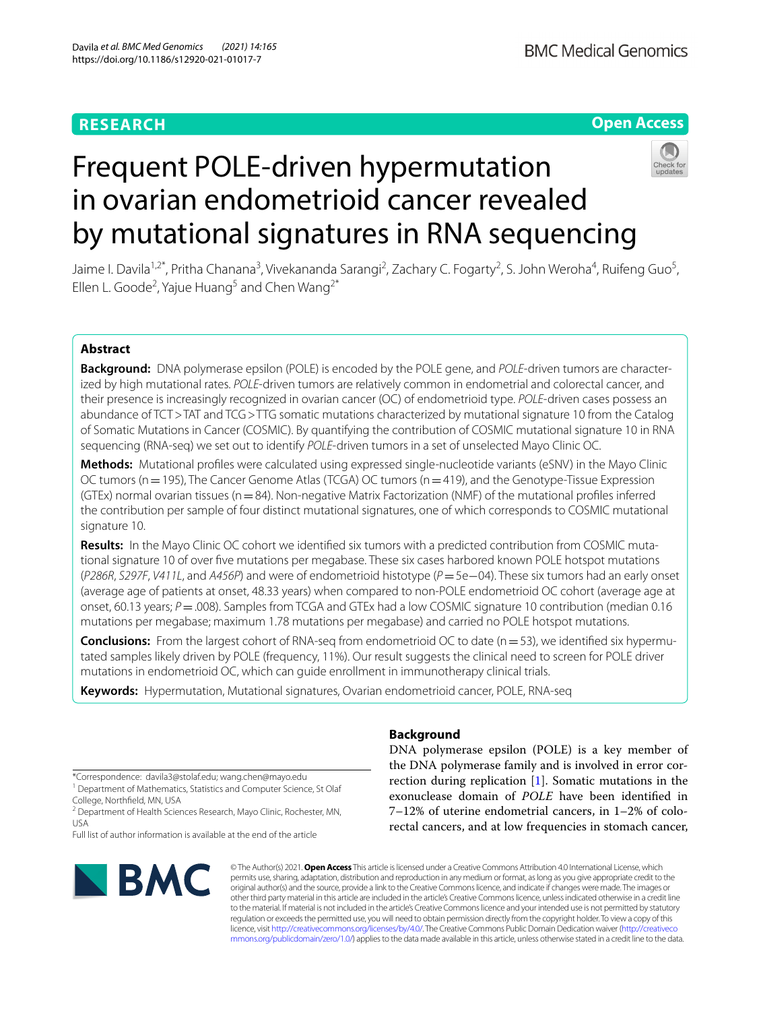# **RESEARCH**

# **Open Access**



# Frequent POLE-driven hypermutation in ovarian endometrioid cancer revealed by mutational signatures in RNA sequencing

Jaime I. Davila<sup>1,2\*</sup>, Pritha Chanana<sup>3</sup>, Vivekananda Sarangi<sup>2</sup>, Zachary C. Fogarty<sup>2</sup>, S. John Weroha<sup>4</sup>, Ruifeng Guo<sup>5</sup>, Ellen L. Goode<sup>2</sup>, Yajue Huang<sup>5</sup> and Chen Wang<sup>2\*</sup>

# **Abstract**

**Background:** DNA polymerase epsilon (POLE) is encoded by the POLE gene, and *POLE*-driven tumors are characterized by high mutational rates. *POLE*-driven tumors are relatively common in endometrial and colorectal cancer, and their presence is increasingly recognized in ovarian cancer (OC) of endometrioid type. *POLE*-driven cases possess an abundance of TCT>TAT and TCG>TTG somatic mutations characterized by mutational signature 10 from the Catalog of Somatic Mutations in Cancer (COSMIC). By quantifying the contribution of COSMIC mutational signature 10 in RNA sequencing (RNA-seq) we set out to identify *POLE*-driven tumors in a set of unselected Mayo Clinic OC.

**Methods:** Mutational profles were calculated using expressed single-nucleotide variants (eSNV) in the Mayo Clinic OC tumors (n = 195), The Cancer Genome Atlas (TCGA) OC tumors (n = 419), and the Genotype-Tissue Expression (GTEx) normal ovarian tissues ( $n=84$ ). Non-negative Matrix Factorization (NMF) of the mutational profiles inferred the contribution per sample of four distinct mutational signatures, one of which corresponds to COSMIC mutational signature 10.

**Results:** In the Mayo Clinic OC cohort we identifed six tumors with a predicted contribution from COSMIC mutational signature 10 of over fve mutations per megabase. These six cases harbored known POLE hotspot mutations (*P286R*, *S297F*, *V411L*, and *A456P*) and were of endometrioid histotype (*P*=5e−04). These six tumors had an early onset (average age of patients at onset, 48.33 years) when compared to non-POLE endometrioid OC cohort (average age at onset, 60.13 years; *P*=.008). Samples from TCGA and GTEx had a low COSMIC signature 10 contribution (median 0.16 mutations per megabase; maximum 1.78 mutations per megabase) and carried no POLE hotspot mutations.

**Conclusions:** From the largest cohort of RNA-seq from endometrioid OC to date (n = 53), we identified six hypermutated samples likely driven by POLE (frequency, 11%). Our result suggests the clinical need to screen for POLE driver mutations in endometrioid OC, which can guide enrollment in immunotherapy clinical trials.

**Keywords:** Hypermutation, Mutational signatures, Ovarian endometrioid cancer, POLE, RNA-seq

\*Correspondence: davila3@stolaf.edu; wang.chen@mayo.edu

<sup>1</sup> Department of Mathematics, Statistics and Computer Science, St Olaf College, Northfeld, MN, USA

<sup>2</sup> Department of Health Sciences Research, Mayo Clinic, Rochester, MN, USA

Full list of author information is available at the end of the article



# **Background**

DNA polymerase epsilon (POLE) is a key member of the DNA polymerase family and is involved in error correction during replication [[1\]](#page-5-0). Somatic mutations in the exonuclease domain of *POLE* have been identifed in 7–12% of uterine endometrial cancers, in 1–2% of colorectal cancers, and at low frequencies in stomach cancer,

© The Author(s) 2021. **Open Access** This article is licensed under a Creative Commons Attribution 4.0 International License, which permits use, sharing, adaptation, distribution and reproduction in any medium or format, as long as you give appropriate credit to the original author(s) and the source, provide a link to the Creative Commons licence, and indicate if changes were made. The images or other third party material in this article are included in the article's Creative Commons licence, unless indicated otherwise in a credit line to the material. If material is not included in the article's Creative Commons licence and your intended use is not permitted by statutory regulation or exceeds the permitted use, you will need to obtain permission directly from the copyright holder. To view a copy of this licence, visit [http://creativecommons.org/licenses/by/4.0/.](http://creativecommons.org/licenses/by/4.0/) The Creative Commons Public Domain Dedication waiver ([http://creativeco](http://creativecommons.org/publicdomain/zero/1.0/) [mmons.org/publicdomain/zero/1.0/](http://creativecommons.org/publicdomain/zero/1.0/)) applies to the data made available in this article, unless otherwise stated in a credit line to the data.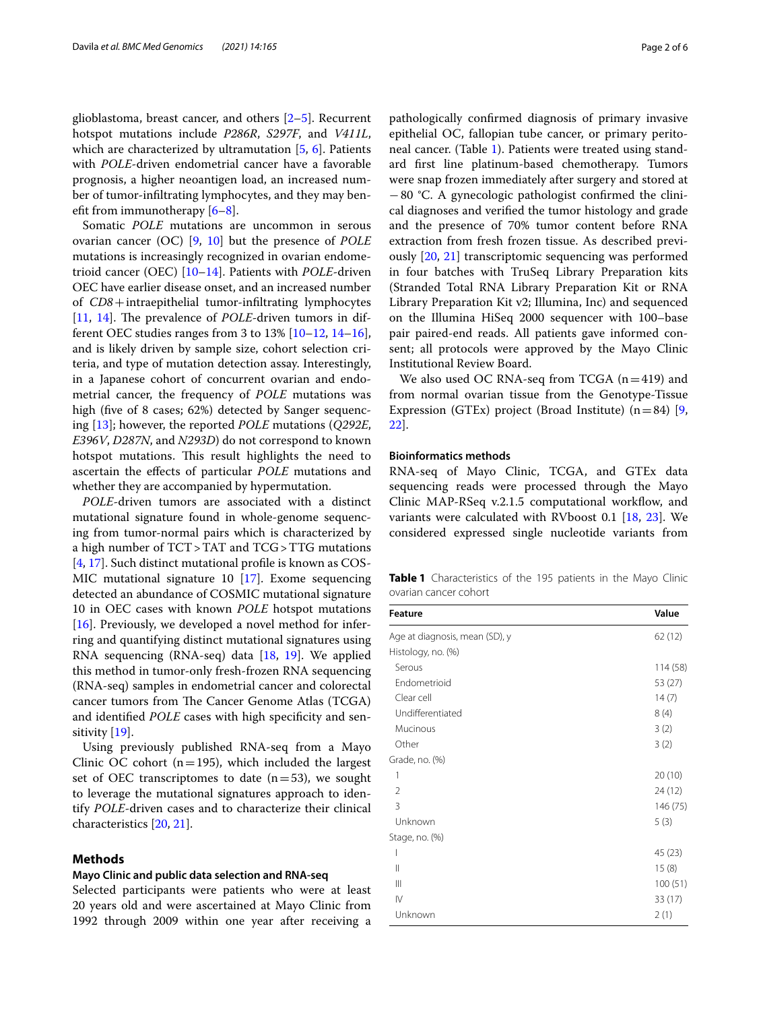glioblastoma, breast cancer, and others [\[2–](#page-5-1)[5\]](#page-5-2). Recurrent hotspot mutations include *P286R*, *S297F*, and *V411L*, which are characterized by ultramutation  $[5, 6]$  $[5, 6]$  $[5, 6]$  $[5, 6]$ . Patients with *POLE*-driven endometrial cancer have a favorable prognosis, a higher neoantigen load, an increased number of tumor-infltrating lymphocytes, and they may beneft from immunotherapy [[6–](#page-5-3)[8\]](#page-5-4).

Somatic *POLE* mutations are uncommon in serous ovarian cancer (OC) [[9,](#page-5-5) [10\]](#page-5-6) but the presence of *POLE* mutations is increasingly recognized in ovarian endometrioid cancer (OEC) [\[10](#page-5-6)[–14\]](#page-5-7). Patients with *POLE*-driven OEC have earlier disease onset, and an increased number of *CD8*+intraepithelial tumor-infltrating lymphocytes [[11,](#page-5-8) [14\]](#page-5-7). The prevalence of *POLE*-driven tumors in different OEC studies ranges from 3 to  $13\%$  [\[10](#page-5-6)–[12,](#page-5-9) [14](#page-5-7)[–16](#page-5-10)], and is likely driven by sample size, cohort selection criteria, and type of mutation detection assay. Interestingly, in a Japanese cohort of concurrent ovarian and endometrial cancer, the frequency of *POLE* mutations was high (five of 8 cases; 62%) detected by Sanger sequencing [\[13](#page-5-11)]; however, the reported *POLE* mutations (*Q292E*, *E396V*, *D287N*, and *N293D*) do not correspond to known hotspot mutations. This result highlights the need to ascertain the efects of particular *POLE* mutations and whether they are accompanied by hypermutation.

*POLE*-driven tumors are associated with a distinct mutational signature found in whole-genome sequencing from tumor-normal pairs which is characterized by a high number of TCT>TAT and TCG>TTG mutations [[4,](#page-5-12) [17](#page-5-13)]. Such distinct mutational profle is known as COS-MIC mutational signature 10 [\[17\]](#page-5-13). Exome sequencing detected an abundance of COSMIC mutational signature 10 in OEC cases with known *POLE* hotspot mutations [ $16$ ]. Previously, we developed a novel method for inferring and quantifying distinct mutational signatures using RNA sequencing (RNA-seq) data [\[18](#page-5-14), [19\]](#page-5-15). We applied this method in tumor-only fresh-frozen RNA sequencing (RNA-seq) samples in endometrial cancer and colorectal cancer tumors from The Cancer Genome Atlas (TCGA) and identified *POLE* cases with high specificity and sensitivity [[19](#page-5-16)].

Using previously published RNA-seq from a Mayo Clinic OC cohort ( $n=195$ ), which included the largest set of OEC transcriptomes to date  $(n=53)$ , we sought to leverage the mutational signatures approach to identify *POLE*-driven cases and to characterize their clinical characteristics [\[20](#page-5-16), [21\]](#page-5-17).

# **Methods**

#### **Mayo Clinic and public data selection and RNA‑seq**

Selected participants were patients who were at least 20 years old and were ascertained at Mayo Clinic from 1992 through 2009 within one year after receiving a

pathologically confrmed diagnosis of primary invasive epithelial OC, fallopian tube cancer, or primary peritoneal cancer. (Table [1](#page-1-0)). Patients were treated using standard frst line platinum-based chemotherapy. Tumors were snap frozen immediately after surgery and stored at −80 °C. A gynecologic pathologist confrmed the clinical diagnoses and verifed the tumor histology and grade and the presence of 70% tumor content before RNA extraction from fresh frozen tissue. As described previously [\[20](#page-5-16), [21](#page-5-17)] transcriptomic sequencing was performed in four batches with TruSeq Library Preparation kits (Stranded Total RNA Library Preparation Kit or RNA Library Preparation Kit v2; Illumina, Inc) and sequenced on the Illumina HiSeq 2000 sequencer with 100–base pair paired-end reads. All patients gave informed consent; all protocols were approved by the Mayo Clinic Institutional Review Board.

We also used OC RNA-seq from TCGA  $(n=419)$  and from normal ovarian tissue from the Genotype-Tissue Expression (GTEx) project (Broad Institute)  $(n=84)$  [\[9](#page-5-5), [22\]](#page-5-18).

## **Bioinformatics methods**

RNA-seq of Mayo Clinic, TCGA, and GTEx data sequencing reads were processed through the Mayo Clinic MAP-RSeq v.2.1.5 computational workflow, and variants were calculated with RVboost 0.1 [\[18,](#page-5-14) [23\]](#page-5-19). We considered expressed single nucleotide variants from

<span id="page-1-0"></span>**Table 1** Characteristics of the 195 patients in the Mayo Clinic ovarian cancer cohort

| <b>Feature</b>                 | Value    |
|--------------------------------|----------|
| Age at diagnosis, mean (SD), y | 62(12)   |
| Histology, no. (%)             |          |
| Serous                         | 114 (58) |
| Endometrioid                   | 53 (27)  |
| Clear cell                     | 14(7)    |
| Undifferentiated               | 8(4)     |
| Mucinous                       | 3(2)     |
| Other                          | 3(2)     |
| Grade, no. (%)                 |          |
| 1                              | 20(10)   |
| $\overline{2}$                 | 24 (12)  |
| 3                              | 146 (75) |
| Unknown                        | 5(3)     |
| Stage, no. (%)                 |          |
| I                              | 45 (23)  |
| $\mathsf{II}$                  | 15(8)    |
| $\mathbb{H}$                   | 100(51)  |
| $\mathsf{IV}$                  | 33(17)   |
| Unknown                        | 2(1)     |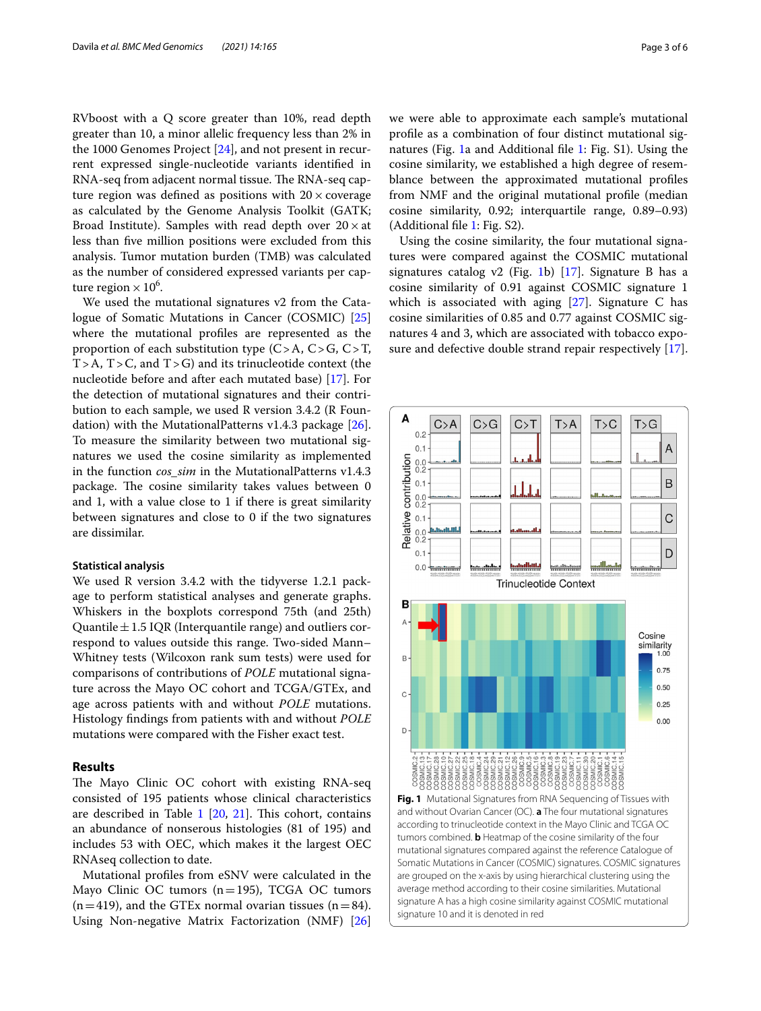RVboost with a Q score greater than 10%, read depth greater than 10, a minor allelic frequency less than 2% in the 1000 Genomes Project [[24](#page-5-20)], and not present in recurrent expressed single-nucleotide variants identifed in RNA-seq from adjacent normal tissue. The RNA-seq capture region was defined as positions with  $20 \times$  coverage as calculated by the Genome Analysis Toolkit (GATK; Broad Institute). Samples with read depth over  $20 \times at$ less than fve million positions were excluded from this analysis. Tumor mutation burden (TMB) was calculated as the number of considered expressed variants per capture region  $\times$  10<sup>6</sup>.

We used the mutational signatures v2 from the Catalogue of Somatic Mutations in Cancer (COSMIC) [[25](#page-5-21)] where the mutational profles are represented as the proportion of each substitution type  $(C > A, C > G, C > T$ ,  $T > A$ ,  $T > C$ , and  $T > G$ ) and its trinucleotide context (the nucleotide before and after each mutated base) [\[17](#page-5-13)]. For the detection of mutational signatures and their contribution to each sample, we used R version 3.4.2 (R Foundation) with the MutationalPatterns v1.4.3 package [\[26](#page-5-22)]. To measure the similarity between two mutational signatures we used the cosine similarity as implemented in the function *cos sim* in the MutationalPatterns v1.4.3 package. The cosine similarity takes values between 0 and 1, with a value close to 1 if there is great similarity between signatures and close to 0 if the two signatures are dissimilar.

## **Statistical analysis**

We used R version 3.4.2 with the tidyverse 1.2.1 package to perform statistical analyses and generate graphs. Whiskers in the boxplots correspond 75th (and 25th) Quantile  $\pm$  1.5 IQR (Interquantile range) and outliers correspond to values outside this range. Two-sided Mann– Whitney tests (Wilcoxon rank sum tests) were used for comparisons of contributions of *POLE* mutational signature across the Mayo OC cohort and TCGA/GTEx, and age across patients with and without *POLE* mutations. Histology fndings from patients with and without *POLE* mutations were compared with the Fisher exact test.

# **Results**

The Mayo Clinic OC cohort with existing RNA-seq consisted of 195 patients whose clinical characteristics are described in Table  $1$  [\[20](#page-5-16), [21](#page-5-17)]. This cohort, contains an abundance of nonserous histologies (81 of 195) and includes 53 with OEC, which makes it the largest OEC RNAseq collection to date.

Mutational profles from eSNV were calculated in the Mayo Clinic OC tumors  $(n=195)$ , TCGA OC tumors  $(n=419)$ , and the GTEx normal ovarian tissues  $(n=84)$ . Using Non-negative Matrix Factorization (NMF) [[26](#page-5-22)] we were able to approximate each sample's mutational profle as a combination of four distinct mutational signatures (Fig. [1](#page-2-0)a and Additional fle [1](#page-4-0): Fig. S1). Using the cosine similarity, we established a high degree of resemblance between the approximated mutational profles from NMF and the original mutational profle (median cosine similarity, 0.92; interquartile range, 0.89–0.93) (Additional fle [1](#page-4-0): Fig. S2).

Using the cosine similarity, the four mutational signatures were compared against the COSMIC mutational signatures catalog v2 (Fig. [1b](#page-2-0))  $[17]$ . Signature B has a cosine similarity of 0.91 against COSMIC signature 1 which is associated with aging  $[27]$  $[27]$ . Signature C has cosine similarities of 0.85 and 0.77 against COSMIC signatures 4 and 3, which are associated with tobacco exposure and defective double strand repair respectively [\[17](#page-5-13)].



<span id="page-2-0"></span>signature A has a high cosine similarity against COSMIC mutational

signature 10 and it is denoted in red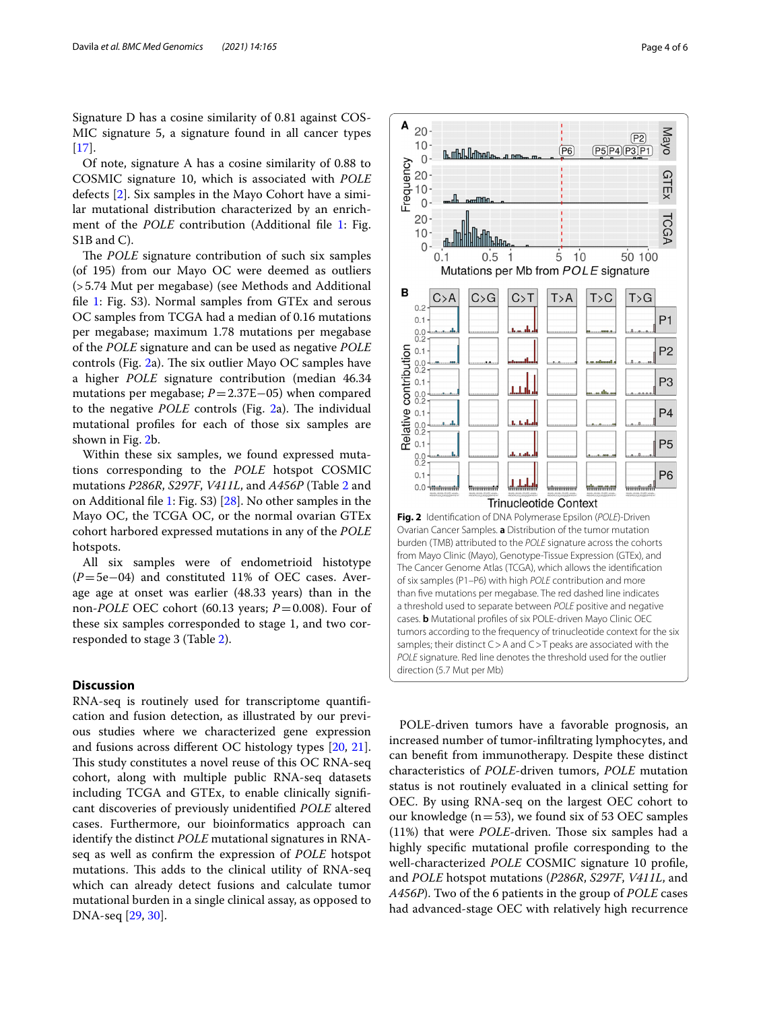Signature D has a cosine similarity of 0.81 against COS-MIC signature 5, a signature found in all cancer types  $[17]$  $[17]$ .

Of note, signature A has a cosine similarity of 0.88 to COSMIC signature 10, which is associated with *POLE* defects [[2\]](#page-5-1). Six samples in the Mayo Cohort have a similar mutational distribution characterized by an enrichment of the *POLE* contribution (Additional file [1](#page-4-0): Fig. S<sub>1</sub>B and C<sub>)</sub>.

The *POLE* signature contribution of such six samples (of 195) from our Mayo OC were deemed as outliers (>5.74 Mut per megabase) (see Methods and Additional fle [1:](#page-4-0) Fig. S3). Normal samples from GTEx and serous OC samples from TCGA had a median of 0.16 mutations per megabase; maximum 1.78 mutations per megabase of the *POLE* signature and can be used as negative *POLE* controls (Fig.  $2a$ ). The six outlier Mayo OC samples have a higher *POLE* signature contribution (median 46.34 mutations per megabase; *P*=2.37E−05) when compared to the negative *POLE* controls (Fig. [2](#page-3-0)a). The individual mutational profles for each of those six samples are shown in Fig. [2](#page-3-0)b.

Within these six samples, we found expressed mutations corresponding to the *POLE* hotspot COSMIC mutations *P286R*, *S297F*, *V411L*, and *A456P* (Table [2](#page-4-1) and on Additional fle [1](#page-4-0): Fig. S3) [\[28](#page-5-24)]. No other samples in the Mayo OC, the TCGA OC, or the normal ovarian GTEx cohort harbored expressed mutations in any of the *POLE* hotspots.

All six samples were of endometrioid histotype (*P*=5e−04) and constituted 11% of OEC cases. Average age at onset was earlier (48.33 years) than in the non-*POLE* OEC cohort (60.13 years; *P*=0.008). Four of these six samples corresponded to stage 1, and two corresponded to stage 3 (Table [2\)](#page-4-1).

# **Discussion**

RNA-seq is routinely used for transcriptome quantifcation and fusion detection, as illustrated by our previous studies where we characterized gene expression and fusions across diferent OC histology types [\[20,](#page-5-16) [21](#page-5-17)]. This study constitutes a novel reuse of this OC RNA-seq cohort, along with multiple public RNA-seq datasets including TCGA and GTEx, to enable clinically signifcant discoveries of previously unidentifed *POLE* altered cases. Furthermore, our bioinformatics approach can identify the distinct *POLE* mutational signatures in RNAseq as well as confrm the expression of *POLE* hotspot mutations. This adds to the clinical utility of RNA-seq which can already detect fusions and calculate tumor mutational burden in a single clinical assay, as opposed to DNA-seq [\[29,](#page-5-25) [30](#page-5-26)].



<span id="page-3-0"></span>POLE-driven tumors have a favorable prognosis, an increased number of tumor-infltrating lymphocytes, and can beneft from immunotherapy. Despite these distinct characteristics of *POLE*-driven tumors, *POLE* mutation status is not routinely evaluated in a clinical setting for OEC. By using RNA-seq on the largest OEC cohort to our knowledge ( $n=53$ ), we found six of 53 OEC samples (11%) that were *POLE*-driven. Those six samples had a highly specifc mutational profle corresponding to the well-characterized *POLE* COSMIC signature 10 profle, and *POLE* hotspot mutations (*P286R*, *S297F*, *V411L*, and *A456P*). Two of the 6 patients in the group of *POLE* cases had advanced-stage OEC with relatively high recurrence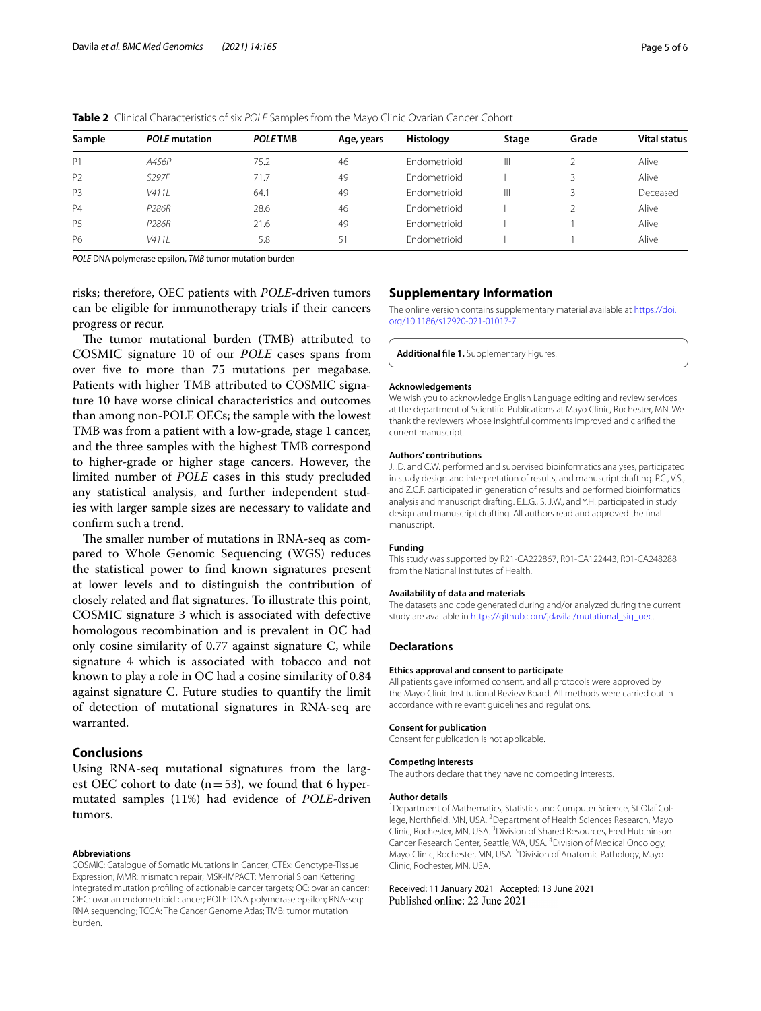| Sample         | <b>POLE</b> mutation | <b>POLE TMB</b> | Age, years | Histology           | Stage | Grade | <b>Vital status</b> |
|----------------|----------------------|-----------------|------------|---------------------|-------|-------|---------------------|
| P <sub>1</sub> | A456P                | 75.2            | 46         | <b>Endometrioid</b> | Ш     |       | Alive               |
| P <sub>2</sub> | S297F                | 71.7            | 49         | <b>Fndometrioid</b> |       |       | Alive               |
| P <sub>3</sub> | V4111                | 64.             | 49         | <b>Fndometrioid</b> | Ш     | 3     | Deceased            |
| P <sub>4</sub> | P <sub>286R</sub>    | 28.6            | 46         | <b>Fndometrioid</b> |       |       | Alive               |
| <b>P5</b>      | P <sub>286R</sub>    | 21.6            | 49         | <b>Fndometrioid</b> |       |       | Alive               |
| <b>P6</b>      | V4111                | 5.8             | 51         | <b>Endometrioid</b> |       |       | Alive               |

<span id="page-4-1"></span>**Table 2** Clinical Characteristics of six *POLE* Samples from the Mayo Clinic Ovarian Cancer Cohort

*POLE* DNA polymerase epsilon, *TMB* tumor mutation burden

risks; therefore, OEC patients with *POLE*-driven tumors can be eligible for immunotherapy trials if their cancers progress or recur.

The tumor mutational burden (TMB) attributed to COSMIC signature 10 of our *POLE* cases spans from over five to more than 75 mutations per megabase. Patients with higher TMB attributed to COSMIC signature 10 have worse clinical characteristics and outcomes than among non-POLE OECs; the sample with the lowest TMB was from a patient with a low-grade, stage 1 cancer, and the three samples with the highest TMB correspond to higher-grade or higher stage cancers. However, the limited number of *POLE* cases in this study precluded any statistical analysis, and further independent studies with larger sample sizes are necessary to validate and confrm such a trend.

The smaller number of mutations in RNA-seq as compared to Whole Genomic Sequencing (WGS) reduces the statistical power to fnd known signatures present at lower levels and to distinguish the contribution of closely related and fat signatures. To illustrate this point, COSMIC signature 3 which is associated with defective homologous recombination and is prevalent in OC had only cosine similarity of 0.77 against signature C, while signature 4 which is associated with tobacco and not known to play a role in OC had a cosine similarity of 0.84 against signature C. Future studies to quantify the limit of detection of mutational signatures in RNA-seq are warranted.

# **Conclusions**

Using RNA-seq mutational signatures from the largest OEC cohort to date  $(n=53)$ , we found that 6 hypermutated samples (11%) had evidence of *POLE*-driven tumors.

#### **Abbreviations**

COSMIC: Catalogue of Somatic Mutations in Cancer; GTEx: Genotype-Tissue Expression; MMR: mismatch repair; MSK-IMPACT: Memorial Sloan Kettering integrated mutation profling of actionable cancer targets; OC: ovarian cancer; OEC: ovarian endometrioid cancer; POLE: DNA polymerase epsilon; RNA-seq: RNA sequencing; TCGA: The Cancer Genome Atlas; TMB: tumor mutation burden.

# **Supplementary Information**

The online version contains supplementary material available at [https://doi.](https://doi.org/10.1186/s12920-021-01017-7) [org/10.1186/s12920-021-01017-7](https://doi.org/10.1186/s12920-021-01017-7).

<span id="page-4-0"></span>**Additional fle 1.** Supplementary Figures.

#### **Acknowledgements**

We wish you to acknowledge English Language editing and review services at the department of Scientifc Publications at Mayo Clinic, Rochester, MN. We thank the reviewers whose insightful comments improved and clarifed the current manuscript.

#### **Authors' contributions**

J.I.D. and C.W. performed and supervised bioinformatics analyses, participated in study design and interpretation of results, and manuscript drafting. P.C., V.S., and Z.C.F. participated in generation of results and performed bioinformatics analysis and manuscript drafting. E.L.G., S. J.W., and Y.H. participated in study design and manuscript drafting. All authors read and approved the fnal manuscript.

#### **Funding**

This study was supported by R21-CA222867, R01-CA122443, R01-CA248288 from the National Institutes of Health.

#### **Availability of data and materials**

The datasets and code generated during and/or analyzed during the current study are available in [https://github.com/jdavilal/mutational\\_sig\\_oec.](https://github.com/jdavilal/mutational_sig_oec)

## **Declarations**

#### **Ethics approval and consent to participate**

All patients gave informed consent, and all protocols were approved by the Mayo Clinic Institutional Review Board. All methods were carried out in accordance with relevant guidelines and regulations.

## **Consent for publication**

Consent for publication is not applicable.

#### **Competing interests**

The authors declare that they have no competing interests.

#### **Author details**

<sup>1</sup> Department of Mathematics, Statistics and Computer Science, St Olaf College, Northfield, MN, USA. <sup>2</sup> Department of Health Sciences Research, Mayo Clinic, Rochester, MN, USA.<sup>3</sup> Division of Shared Resources, Fred Hutchinson Cancer Research Center, Seattle, WA, USA. 4 Division of Medical Oncology, Mayo Clinic, Rochester, MN, USA.<sup>5</sup> Division of Anatomic Pathology, Mayo Clinic, Rochester, MN, USA.

# Received: 11 January 2021 Accepted: 13 June 2021